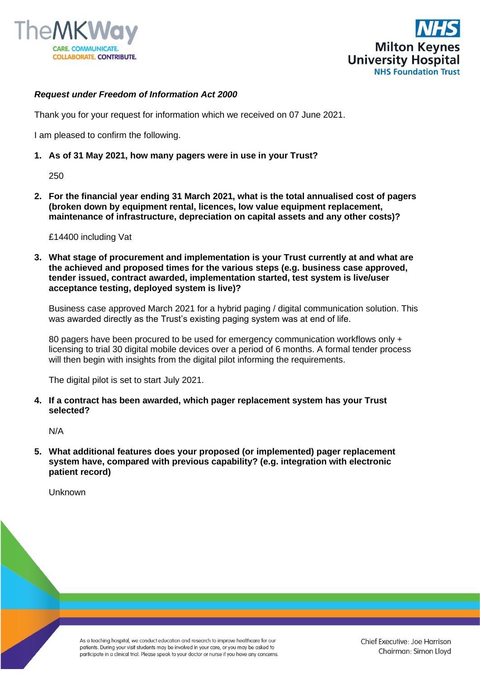



## *Request under Freedom of Information Act 2000*

Thank you for your request for information which we received on 07 June 2021.

I am pleased to confirm the following.

**1. As of 31 May 2021, how many pagers were in use in your Trust?**

250

**2. For the financial year ending 31 March 2021, what is the total annualised cost of pagers (broken down by equipment rental, licences, low value equipment replacement, maintenance of infrastructure, depreciation on capital assets and any other costs)?**

£14400 including Vat

**3. What stage of procurement and implementation is your Trust currently at and what are the achieved and proposed times for the various steps (e.g. business case approved, tender issued, contract awarded, implementation started, test system is live/user acceptance testing, deployed system is live)?**

Business case approved March 2021 for a hybrid paging / digital communication solution. This was awarded directly as the Trust's existing paging system was at end of life.

80 pagers have been procured to be used for emergency communication workflows only + licensing to trial 30 digital mobile devices over a period of 6 months. A formal tender process will then begin with insights from the digital pilot informing the requirements.

The digital pilot is set to start July 2021.

**4. If a contract has been awarded, which pager replacement system has your Trust selected?**

N/A

**5. What additional features does your proposed (or implemented) pager replacement system have, compared with previous capability? (e.g. integration with electronic patient record)**

Unknown

As a teaching hospital, we conduct education and research to improve healthcare for our patients. During your visit students may be involved in your care, or you may be asked to participate in a clinical trial. Please speak to your doctor or nurse if you have any concerns.